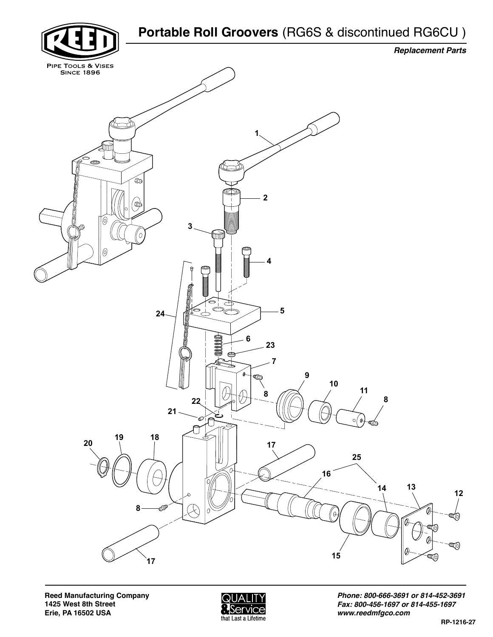



*Phone: 800-666-3691 or 814-452-3691 Fax: 800-456-1697 or 814-455-1697 www.reedmfgco.com*